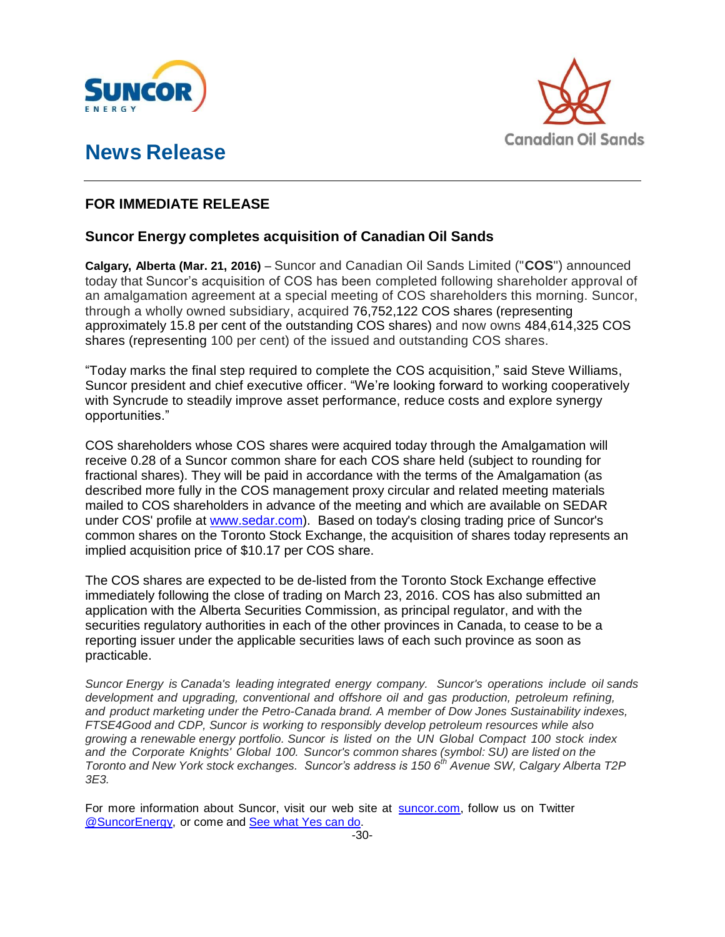

## **News Release**



## **FOR IMMEDIATE RELEASE**

## **Suncor Energy completes acquisition of Canadian Oil Sands**

**Calgary, Alberta (Mar. 21, 2016)** – Suncor and Canadian Oil Sands Limited ("**COS**") announced today that Suncor's acquisition of COS has been completed following shareholder approval of an amalgamation agreement at a special meeting of COS shareholders this morning. Suncor, through a wholly owned subsidiary, acquired 76,752,122 COS shares (representing approximately 15.8 per cent of the outstanding COS shares) and now owns 484,614,325 COS shares (representing 100 per cent) of the issued and outstanding COS shares.

"Today marks the final step required to complete the COS acquisition," said Steve Williams, Suncor president and chief executive officer. "We're looking forward to working cooperatively with Syncrude to steadily improve asset performance, reduce costs and explore synergy opportunities."

COS shareholders whose COS shares were acquired today through the Amalgamation will receive 0.28 of a Suncor common share for each COS share held (subject to rounding for fractional shares). They will be paid in accordance with the terms of the Amalgamation (as described more fully in the COS management proxy circular and related meeting materials mailed to COS shareholders in advance of the meeting and which are available on SEDAR under COS' profile at [www.sedar.com\)](http://www.sedar.com/). Based on today's closing trading price of Suncor's common shares on the Toronto Stock Exchange, the acquisition of shares today represents an implied acquisition price of \$10.17 per COS share.

The COS shares are expected to be de-listed from the Toronto Stock Exchange effective immediately following the close of trading on March 23, 2016. COS has also submitted an application with the Alberta Securities Commission, as principal regulator, and with the securities regulatory authorities in each of the other provinces in Canada, to cease to be a reporting issuer under the applicable securities laws of each such province as soon as practicable.

*Suncor Energy is Canada's leading integrated energy company. Suncor's operations include oil sands development and upgrading, conventional and offshore oil and gas production, petroleum refining, and product marketing under the Petro-Canada brand. A member of Dow Jones Sustainability indexes, FTSE4Good and CDP, Suncor is working to responsibly develop petroleum resources while also growing a renewable energy portfolio. Suncor is listed on the UN Global Compact 100 stock index and the Corporate Knights' Global 100. Suncor's common shares (symbol: SU) are listed on the Toronto and New York stock exchanges. Suncor's address is 150 6th Avenue SW, Calgary Alberta T2P 3E3.*

For more information about Suncor, visit our web site at suncor.com, follow us on Twitter @SuncorEnergy, or come and See what Yes can do.